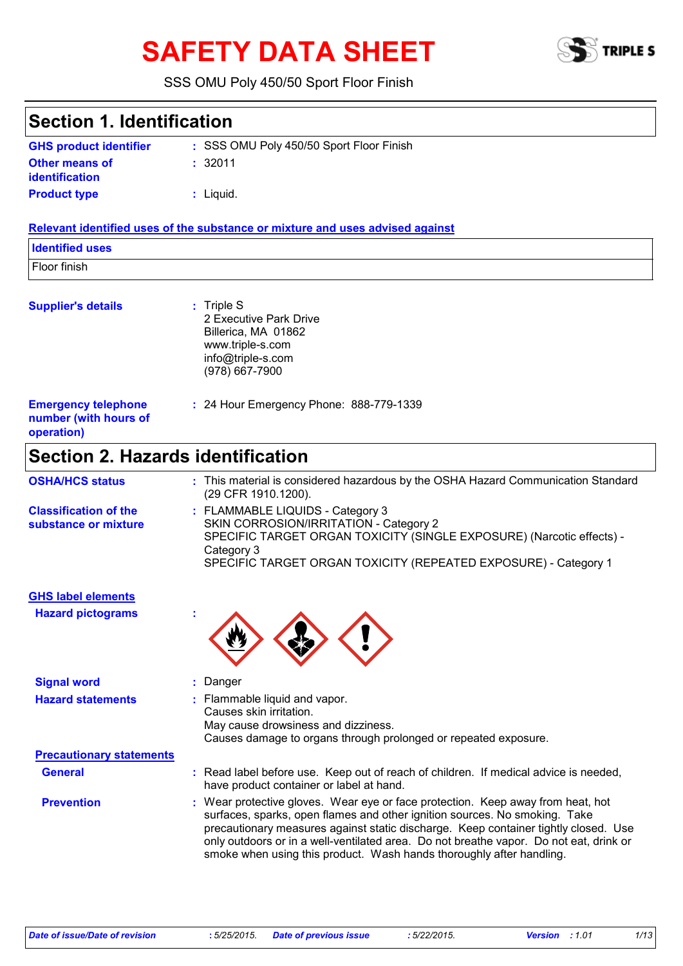# **SAFETY DATA SHEET**



#### SSS OMU Poly 450/50 Sport Floor Finish

| <b>Section 1. Identification</b>                                  |                                                                                                                                                                                                                                                                                                                                                                                                                        |
|-------------------------------------------------------------------|------------------------------------------------------------------------------------------------------------------------------------------------------------------------------------------------------------------------------------------------------------------------------------------------------------------------------------------------------------------------------------------------------------------------|
| <b>GHS product identifier</b>                                     | : SSS OMU Poly 450/50 Sport Floor Finish                                                                                                                                                                                                                                                                                                                                                                               |
| <b>Other means of</b><br><b>identification</b>                    | :32011                                                                                                                                                                                                                                                                                                                                                                                                                 |
| <b>Product type</b>                                               | $:$ Liquid.                                                                                                                                                                                                                                                                                                                                                                                                            |
|                                                                   | Relevant identified uses of the substance or mixture and uses advised against                                                                                                                                                                                                                                                                                                                                          |
| <b>Identified uses</b>                                            |                                                                                                                                                                                                                                                                                                                                                                                                                        |
| Floor finish                                                      |                                                                                                                                                                                                                                                                                                                                                                                                                        |
| <b>Supplier's details</b>                                         | $:$ Triple S<br>2 Executive Park Drive<br>Billerica, MA 01862<br>www.triple-s.com<br>info@triple-s.com<br>(978) 667-7900                                                                                                                                                                                                                                                                                               |
| <b>Emergency telephone</b><br>number (with hours of<br>operation) | : 24 Hour Emergency Phone: 888-779-1339                                                                                                                                                                                                                                                                                                                                                                                |
| <b>Section 2. Hazards identification</b>                          |                                                                                                                                                                                                                                                                                                                                                                                                                        |
| <b>OSHA/HCS status</b>                                            | : This material is considered hazardous by the OSHA Hazard Communication Standard<br>(29 CFR 1910.1200).                                                                                                                                                                                                                                                                                                               |
| <b>Classification of the</b><br>substance or mixture              | : FLAMMABLE LIQUIDS - Category 3<br>SKIN CORROSION/IRRITATION - Category 2<br>SPECIFIC TARGET ORGAN TOXICITY (SINGLE EXPOSURE) (Narcotic effects) -<br>Category 3<br>SPECIFIC TARGET ORGAN TOXICITY (REPEATED EXPOSURE) - Category 1                                                                                                                                                                                   |
| <b>GHS label elements</b>                                         |                                                                                                                                                                                                                                                                                                                                                                                                                        |
| <b>Hazard pictograms</b>                                          |                                                                                                                                                                                                                                                                                                                                                                                                                        |
| <b>Signal word</b>                                                | : Danger                                                                                                                                                                                                                                                                                                                                                                                                               |
| <b>Hazard statements</b>                                          | : Flammable liquid and vapor.<br>Causes skin irritation.<br>May cause drowsiness and dizziness.<br>Causes damage to organs through prolonged or repeated exposure.                                                                                                                                                                                                                                                     |
| <b>Precautionary statements</b>                                   |                                                                                                                                                                                                                                                                                                                                                                                                                        |
| <b>General</b>                                                    | : Read label before use. Keep out of reach of children. If medical advice is needed,<br>have product container or label at hand.                                                                                                                                                                                                                                                                                       |
| <b>Prevention</b>                                                 | : Wear protective gloves. Wear eye or face protection. Keep away from heat, hot<br>surfaces, sparks, open flames and other ignition sources. No smoking. Take<br>precautionary measures against static discharge. Keep container tightly closed. Use<br>only outdoors or in a well-ventilated area. Do not breathe vapor. Do not eat, drink or<br>smoke when using this product. Wash hands thoroughly after handling. |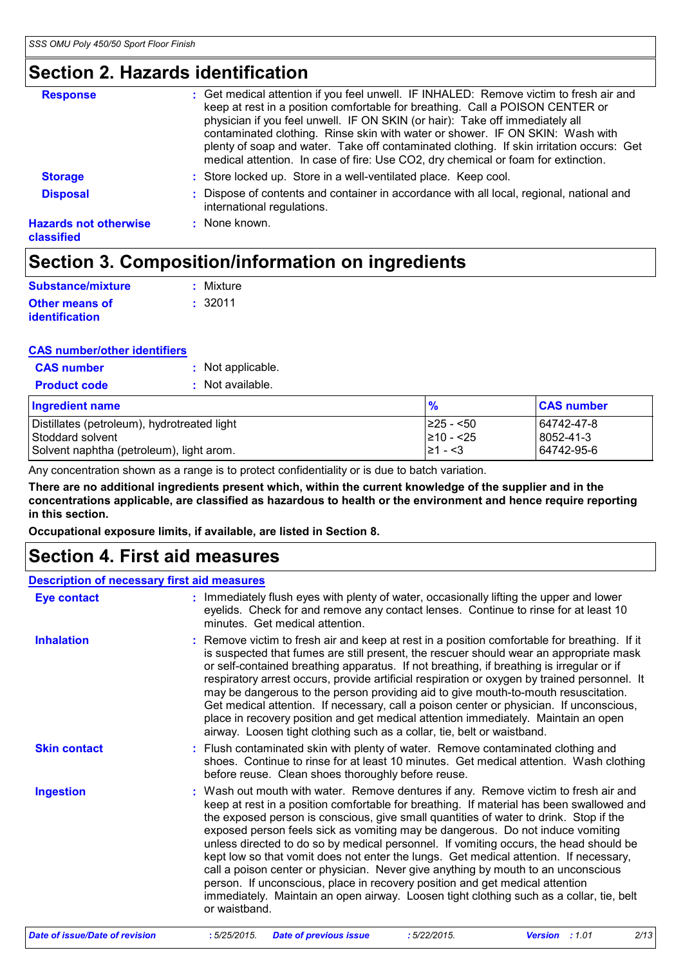### **Section 2. Hazards identification**

| : Get medical attention if you feel unwell. IF INHALED: Remove victim to fresh air and<br>keep at rest in a position comfortable for breathing. Call a POISON CENTER or<br>physician if you feel unwell. IF ON SKIN (or hair): Take off immediately all<br>contaminated clothing. Rinse skin with water or shower. IF ON SKIN: Wash with<br>plenty of soap and water. Take off contaminated clothing. If skin irritation occurs: Get<br>medical attention. In case of fire: Use CO2, dry chemical or foam for extinction. |
|---------------------------------------------------------------------------------------------------------------------------------------------------------------------------------------------------------------------------------------------------------------------------------------------------------------------------------------------------------------------------------------------------------------------------------------------------------------------------------------------------------------------------|
| : Store locked up. Store in a well-ventilated place. Keep cool.                                                                                                                                                                                                                                                                                                                                                                                                                                                           |
| : Dispose of contents and container in accordance with all local, regional, national and<br>international regulations.                                                                                                                                                                                                                                                                                                                                                                                                    |
| : None known.                                                                                                                                                                                                                                                                                                                                                                                                                                                                                                             |
|                                                                                                                                                                                                                                                                                                                                                                                                                                                                                                                           |

### **Section 3. Composition/information on ingredients**

| Substance/mixture     | : Mixture |
|-----------------------|-----------|
| Other means of        | : 32011   |
| <i>identification</i> |           |

#### **CAS number/other identifiers**

| <b>CAS number</b>   | : Not applicable. |
|---------------------|-------------------|
| <b>Product code</b> | : Not available.  |

| Ingredient name                             | $\frac{9}{6}$  | <b>CAS number</b> |
|---------------------------------------------|----------------|-------------------|
| Distillates (petroleum), hydrotreated light | $ 225 - 50 $   | 64742-47-8        |
| Stoddard solvent                            | $\geq 10 - 25$ | 8052-41-3         |
| Solvent naphtha (petroleum), light arom.    | I≥1 - <3       | 64742-95-6        |

Any concentration shown as a range is to protect confidentiality or is due to batch variation.

**There are no additional ingredients present which, within the current knowledge of the supplier and in the concentrations applicable, are classified as hazardous to health or the environment and hence require reporting in this section.**

**Occupational exposure limits, if available, are listed in Section 8.**

### **Section 4. First aid measures**

| <b>Description of necessary first aid measures</b> |                                                                                                                                                                                                                                                                                                                                                                                                                                                                                                                                                                                                                                                                                                                                                                                                                               |
|----------------------------------------------------|-------------------------------------------------------------------------------------------------------------------------------------------------------------------------------------------------------------------------------------------------------------------------------------------------------------------------------------------------------------------------------------------------------------------------------------------------------------------------------------------------------------------------------------------------------------------------------------------------------------------------------------------------------------------------------------------------------------------------------------------------------------------------------------------------------------------------------|
| <b>Eye contact</b>                                 | : Immediately flush eyes with plenty of water, occasionally lifting the upper and lower<br>eyelids. Check for and remove any contact lenses. Continue to rinse for at least 10<br>minutes. Get medical attention.                                                                                                                                                                                                                                                                                                                                                                                                                                                                                                                                                                                                             |
| <b>Inhalation</b>                                  | : Remove victim to fresh air and keep at rest in a position comfortable for breathing. If it<br>is suspected that fumes are still present, the rescuer should wear an appropriate mask<br>or self-contained breathing apparatus. If not breathing, if breathing is irregular or if<br>respiratory arrest occurs, provide artificial respiration or oxygen by trained personnel. It<br>may be dangerous to the person providing aid to give mouth-to-mouth resuscitation.<br>Get medical attention. If necessary, call a poison center or physician. If unconscious,<br>place in recovery position and get medical attention immediately. Maintain an open<br>airway. Loosen tight clothing such as a collar, tie, belt or waistband.                                                                                          |
| <b>Skin contact</b>                                | : Flush contaminated skin with plenty of water. Remove contaminated clothing and<br>shoes. Continue to rinse for at least 10 minutes. Get medical attention. Wash clothing<br>before reuse. Clean shoes thoroughly before reuse.                                                                                                                                                                                                                                                                                                                                                                                                                                                                                                                                                                                              |
| <b>Ingestion</b>                                   | : Wash out mouth with water. Remove dentures if any. Remove victim to fresh air and<br>keep at rest in a position comfortable for breathing. If material has been swallowed and<br>the exposed person is conscious, give small quantities of water to drink. Stop if the<br>exposed person feels sick as vomiting may be dangerous. Do not induce vomiting<br>unless directed to do so by medical personnel. If vomiting occurs, the head should be<br>kept low so that vomit does not enter the lungs. Get medical attention. If necessary,<br>call a poison center or physician. Never give anything by mouth to an unconscious<br>person. If unconscious, place in recovery position and get medical attention<br>immediately. Maintain an open airway. Loosen tight clothing such as a collar, tie, belt<br>or waistband. |

| Date of issue/Date of revision | : 5/25/2015. Date of previous issue | 5/22/2015. | <b>Version</b> : 1.01 | 2/13 |
|--------------------------------|-------------------------------------|------------|-----------------------|------|
|--------------------------------|-------------------------------------|------------|-----------------------|------|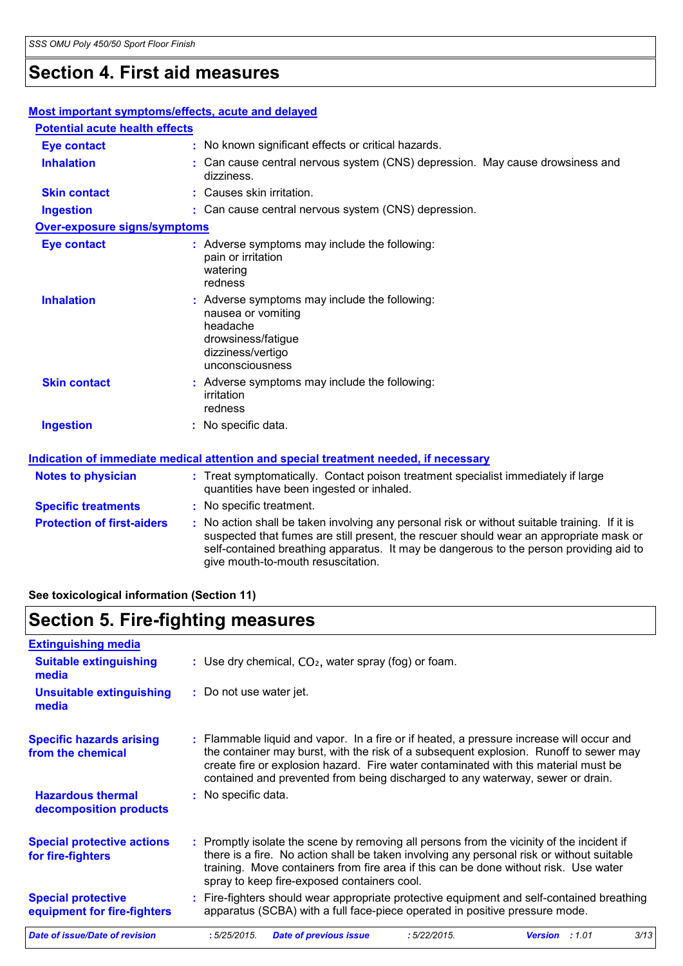### **Section 4. First aid measures**

#### **Protection of first-aiders** : No action shall be taken involving any personal risk or without suitable training. If it is suspected that fumes are still present, the rescuer should wear an appropriate mask or self-contained breathing apparatus. It may be dangerous to the person providing aid to give mouth-to-mouth resuscitation. **Notes to physician :** Treat symptomatically. Contact poison treatment specialist immediately if large quantities have been ingested or inhaled. **Specific treatments** : No specific treatment. **Most important symptoms/effects, acute and delayed Inhalation :** Can cause central nervous system (CNS) depression. May cause drowsiness and dizziness. **Ingestion :** Can cause central nervous system (CNS) depression. **Skin contact :** Causes skin irritation. **Eye contact :** No known significant effects or critical hazards. **Over-exposure signs/symptoms Skin contact Ingestion Inhalation Conservent in the symptoms may include the following:** nausea or vomiting headache drowsiness/fatigue dizziness/vertigo unconsciousness No specific data. **:** Adverse symptoms may include the following: **:** irritation redness **Eye contact :** Adverse symptoms may include the following: pain or irritation watering redness **Potential acute health effects Indication of immediate medical attention and special treatment needed, if necessary**

#### **See toxicological information (Section 11)**

### **Section 5. Fire-fighting measures**

| <b>Extinguishing media</b>                               |                         |                                                                                                                                                                                                                                                                                                                                                            |             |                |      |
|----------------------------------------------------------|-------------------------|------------------------------------------------------------------------------------------------------------------------------------------------------------------------------------------------------------------------------------------------------------------------------------------------------------------------------------------------------------|-------------|----------------|------|
| <b>Suitable extinguishing</b><br>media                   |                         | : Use dry chemical, $CO2$ , water spray (fog) or foam.                                                                                                                                                                                                                                                                                                     |             |                |      |
| <b>Unsuitable extinguishing</b><br>media                 | : Do not use water jet. |                                                                                                                                                                                                                                                                                                                                                            |             |                |      |
| <b>Specific hazards arising</b><br>from the chemical     |                         | : Flammable liquid and vapor. In a fire or if heated, a pressure increase will occur and<br>the container may burst, with the risk of a subsequent explosion. Runoff to sewer may<br>create fire or explosion hazard. Fire water contaminated with this material must be<br>contained and prevented from being discharged to any waterway, sewer or drain. |             |                |      |
| <b>Hazardous thermal</b><br>decomposition products       | : No specific data.     |                                                                                                                                                                                                                                                                                                                                                            |             |                |      |
| <b>Special protective actions</b><br>for fire-fighters   |                         | : Promptly isolate the scene by removing all persons from the vicinity of the incident if<br>there is a fire. No action shall be taken involving any personal risk or without suitable<br>training. Move containers from fire area if this can be done without risk. Use water<br>spray to keep fire-exposed containers cool.                              |             |                |      |
| <b>Special protective</b><br>equipment for fire-fighters |                         | : Fire-fighters should wear appropriate protective equipment and self-contained breathing<br>apparatus (SCBA) with a full face-piece operated in positive pressure mode.                                                                                                                                                                                   |             |                |      |
| Date of issue/Date of revision                           | :5/25/2015.             | <b>Date of previous issue</b>                                                                                                                                                                                                                                                                                                                              | :5/22/2015. | Version : 1.01 | 3/13 |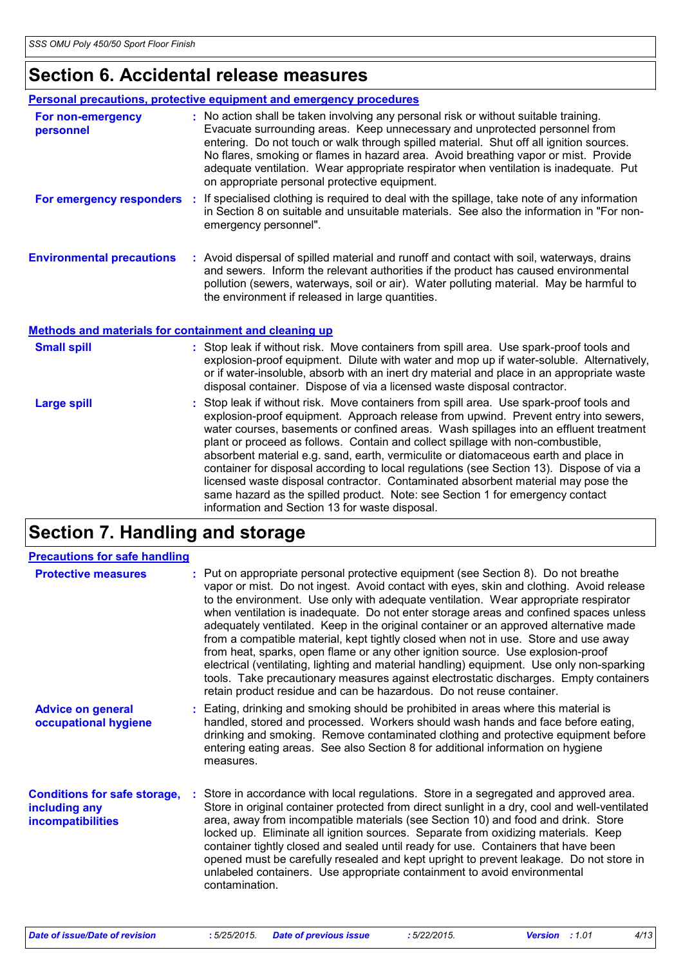# **Section 6. Accidental release measures**

|                                                       | Personal precautions, protective equipment and emergency procedures                                                                                                                                                                                                                                                                                                                                                                                                                                                                                                                                                                                                                                                                                                |
|-------------------------------------------------------|--------------------------------------------------------------------------------------------------------------------------------------------------------------------------------------------------------------------------------------------------------------------------------------------------------------------------------------------------------------------------------------------------------------------------------------------------------------------------------------------------------------------------------------------------------------------------------------------------------------------------------------------------------------------------------------------------------------------------------------------------------------------|
| For non-emergency<br>personnel                        | : No action shall be taken involving any personal risk or without suitable training.<br>Evacuate surrounding areas. Keep unnecessary and unprotected personnel from<br>entering. Do not touch or walk through spilled material. Shut off all ignition sources.<br>No flares, smoking or flames in hazard area. Avoid breathing vapor or mist. Provide<br>adequate ventilation. Wear appropriate respirator when ventilation is inadequate. Put<br>on appropriate personal protective equipment.                                                                                                                                                                                                                                                                    |
|                                                       | For emergency responders : If specialised clothing is required to deal with the spillage, take note of any information<br>in Section 8 on suitable and unsuitable materials. See also the information in "For non-<br>emergency personnel".                                                                                                                                                                                                                                                                                                                                                                                                                                                                                                                        |
| <b>Environmental precautions</b>                      | : Avoid dispersal of spilled material and runoff and contact with soil, waterways, drains<br>and sewers. Inform the relevant authorities if the product has caused environmental<br>pollution (sewers, waterways, soil or air). Water polluting material. May be harmful to<br>the environment if released in large quantities.                                                                                                                                                                                                                                                                                                                                                                                                                                    |
| Methods and materials for containment and cleaning up |                                                                                                                                                                                                                                                                                                                                                                                                                                                                                                                                                                                                                                                                                                                                                                    |
| <b>Small spill</b>                                    | : Stop leak if without risk. Move containers from spill area. Use spark-proof tools and<br>explosion-proof equipment. Dilute with water and mop up if water-soluble. Alternatively,<br>or if water-insoluble, absorb with an inert dry material and place in an appropriate waste<br>disposal container. Dispose of via a licensed waste disposal contractor.                                                                                                                                                                                                                                                                                                                                                                                                      |
| <b>Large spill</b>                                    | Stop leak if without risk. Move containers from spill area. Use spark-proof tools and<br>explosion-proof equipment. Approach release from upwind. Prevent entry into sewers,<br>water courses, basements or confined areas. Wash spillages into an effluent treatment<br>plant or proceed as follows. Contain and collect spillage with non-combustible,<br>absorbent material e.g. sand, earth, vermiculite or diatomaceous earth and place in<br>container for disposal according to local regulations (see Section 13). Dispose of via a<br>licensed waste disposal contractor. Contaminated absorbent material may pose the<br>same hazard as the spilled product. Note: see Section 1 for emergency contact<br>information and Section 13 for waste disposal. |

# **Section 7. Handling and storage**

| <b>Precautions for safe handling</b>                                      |                                                                                                                                                                                                                                                                                                                                                                                                                                                                                                                                                                                                                                                                                                                                                                                                                                                                                                |
|---------------------------------------------------------------------------|------------------------------------------------------------------------------------------------------------------------------------------------------------------------------------------------------------------------------------------------------------------------------------------------------------------------------------------------------------------------------------------------------------------------------------------------------------------------------------------------------------------------------------------------------------------------------------------------------------------------------------------------------------------------------------------------------------------------------------------------------------------------------------------------------------------------------------------------------------------------------------------------|
| <b>Protective measures</b>                                                | : Put on appropriate personal protective equipment (see Section 8). Do not breathe<br>vapor or mist. Do not ingest. Avoid contact with eyes, skin and clothing. Avoid release<br>to the environment. Use only with adequate ventilation. Wear appropriate respirator<br>when ventilation is inadequate. Do not enter storage areas and confined spaces unless<br>adequately ventilated. Keep in the original container or an approved alternative made<br>from a compatible material, kept tightly closed when not in use. Store and use away<br>from heat, sparks, open flame or any other ignition source. Use explosion-proof<br>electrical (ventilating, lighting and material handling) equipment. Use only non-sparking<br>tools. Take precautionary measures against electrostatic discharges. Empty containers<br>retain product residue and can be hazardous. Do not reuse container. |
| <b>Advice on general</b><br>occupational hygiene                          | : Eating, drinking and smoking should be prohibited in areas where this material is<br>handled, stored and processed. Workers should wash hands and face before eating,<br>drinking and smoking. Remove contaminated clothing and protective equipment before<br>entering eating areas. See also Section 8 for additional information on hygiene<br>measures.                                                                                                                                                                                                                                                                                                                                                                                                                                                                                                                                  |
| <b>Conditions for safe storage,</b><br>including any<br>incompatibilities | : Store in accordance with local regulations. Store in a segregated and approved area.<br>Store in original container protected from direct sunlight in a dry, cool and well-ventilated<br>area, away from incompatible materials (see Section 10) and food and drink. Store<br>locked up. Eliminate all ignition sources. Separate from oxidizing materials. Keep<br>container tightly closed and sealed until ready for use. Containers that have been<br>opened must be carefully resealed and kept upright to prevent leakage. Do not store in<br>unlabeled containers. Use appropriate containment to avoid environmental<br>contamination.                                                                                                                                                                                                                                               |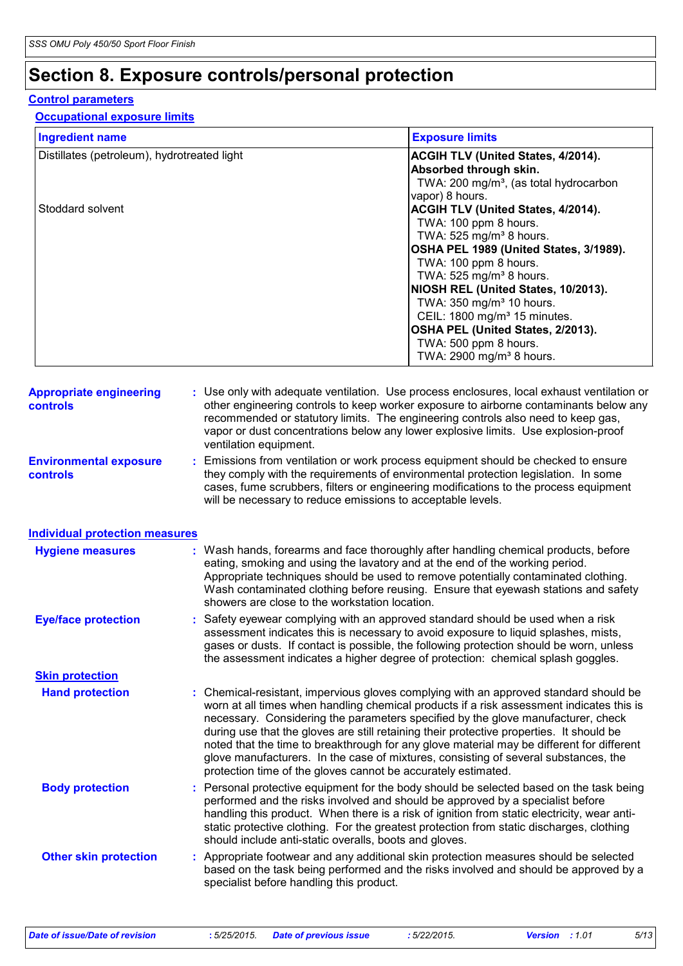# **Section 8. Exposure controls/personal protection**

#### **Control parameters**

#### **Occupational exposure limits**

| <b>Ingredient name</b>                      | <b>Exposure limits</b>                             |
|---------------------------------------------|----------------------------------------------------|
| Distillates (petroleum), hydrotreated light | <b>ACGIH TLV (United States, 4/2014).</b>          |
|                                             | Absorbed through skin.                             |
|                                             | TWA: 200 mg/m <sup>3</sup> , (as total hydrocarbon |
|                                             | vapor) 8 hours.                                    |
| Stoddard solvent                            | <b>ACGIH TLV (United States, 4/2014).</b>          |
|                                             | TWA: 100 ppm 8 hours.                              |
|                                             | TWA: $525$ mg/m <sup>3</sup> 8 hours.              |
|                                             | OSHA PEL 1989 (United States, 3/1989).             |
|                                             | TWA: 100 ppm 8 hours.                              |
|                                             | TWA: $525$ mg/m <sup>3</sup> 8 hours.              |
|                                             | NIOSH REL (United States, 10/2013).                |
|                                             | TWA: 350 mg/m <sup>3</sup> 10 hours.               |
|                                             | CEIL: 1800 mg/m <sup>3</sup> 15 minutes.           |
|                                             | OSHA PEL (United States, 2/2013).                  |
|                                             | TWA: 500 ppm 8 hours.                              |
|                                             | TWA: 2900 mg/m <sup>3</sup> 8 hours.               |

| <b>Appropriate engineering</b><br><b>controls</b> | : Use only with adequate ventilation. Use process enclosures, local exhaust ventilation or<br>other engineering controls to keep worker exposure to airborne contaminants below any<br>recommended or statutory limits. The engineering controls also need to keep gas,<br>vapor or dust concentrations below any lower explosive limits. Use explosion-proof<br>ventilation equipment.                                                                                                                                                                                                                              |
|---------------------------------------------------|----------------------------------------------------------------------------------------------------------------------------------------------------------------------------------------------------------------------------------------------------------------------------------------------------------------------------------------------------------------------------------------------------------------------------------------------------------------------------------------------------------------------------------------------------------------------------------------------------------------------|
| <b>Environmental exposure</b><br><b>controls</b>  | Emissions from ventilation or work process equipment should be checked to ensure<br>they comply with the requirements of environmental protection legislation. In some<br>cases, fume scrubbers, filters or engineering modifications to the process equipment<br>will be necessary to reduce emissions to acceptable levels.                                                                                                                                                                                                                                                                                        |
| <b>Individual protection measures</b>             |                                                                                                                                                                                                                                                                                                                                                                                                                                                                                                                                                                                                                      |
| <b>Hygiene measures</b>                           | Wash hands, forearms and face thoroughly after handling chemical products, before<br>eating, smoking and using the lavatory and at the end of the working period.<br>Appropriate techniques should be used to remove potentially contaminated clothing.<br>Wash contaminated clothing before reusing. Ensure that eyewash stations and safety<br>showers are close to the workstation location.                                                                                                                                                                                                                      |
| <b>Eye/face protection</b>                        | Safety eyewear complying with an approved standard should be used when a risk<br>assessment indicates this is necessary to avoid exposure to liquid splashes, mists,<br>gases or dusts. If contact is possible, the following protection should be worn, unless<br>the assessment indicates a higher degree of protection: chemical splash goggles.                                                                                                                                                                                                                                                                  |
| <b>Skin protection</b>                            |                                                                                                                                                                                                                                                                                                                                                                                                                                                                                                                                                                                                                      |
| <b>Hand protection</b>                            | Chemical-resistant, impervious gloves complying with an approved standard should be<br>worn at all times when handling chemical products if a risk assessment indicates this is<br>necessary. Considering the parameters specified by the glove manufacturer, check<br>during use that the gloves are still retaining their protective properties. It should be<br>noted that the time to breakthrough for any glove material may be different for different<br>glove manufacturers. In the case of mixtures, consisting of several substances, the<br>protection time of the gloves cannot be accurately estimated. |
| <b>Body protection</b>                            | : Personal protective equipment for the body should be selected based on the task being<br>performed and the risks involved and should be approved by a specialist before<br>handling this product. When there is a risk of ignition from static electricity, wear anti-<br>static protective clothing. For the greatest protection from static discharges, clothing<br>should include anti-static overalls, boots and gloves.                                                                                                                                                                                       |
| <b>Other skin protection</b>                      | : Appropriate footwear and any additional skin protection measures should be selected<br>based on the task being performed and the risks involved and should be approved by a<br>specialist before handling this product.                                                                                                                                                                                                                                                                                                                                                                                            |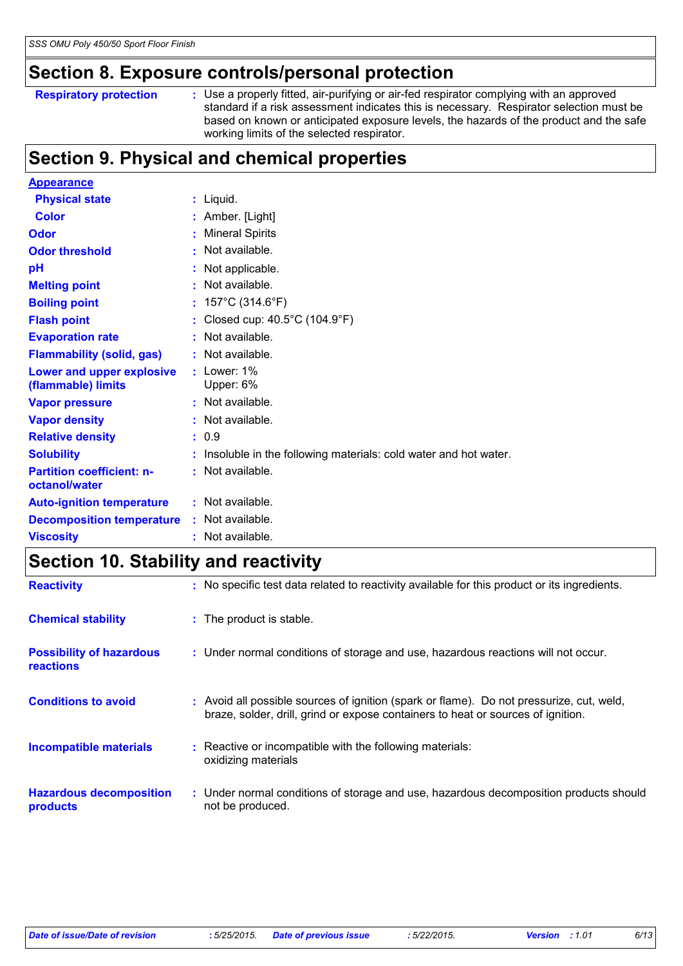### **Section 8. Exposure controls/personal protection**

```
Respiratory protection :
```
Use a properly fitted, air-purifying or air-fed respirator complying with an approved standard if a risk assessment indicates this is necessary. Respirator selection must be based on known or anticipated exposure levels, the hazards of the product and the safe working limits of the selected respirator.

### **Section 9. Physical and chemical properties**

| <b>Appearance</b>                                 |                                                                 |
|---------------------------------------------------|-----------------------------------------------------------------|
| <b>Physical state</b>                             | : Liquid.                                                       |
| <b>Color</b>                                      | : Amber. [Light]                                                |
| Odor                                              | <b>Mineral Spirits</b><br>t.                                    |
| <b>Odor threshold</b>                             | Not available.                                                  |
| pH                                                | : Not applicable.                                               |
| <b>Melting point</b>                              | $:$ Not available.                                              |
| <b>Boiling point</b>                              | : $157^{\circ}$ C (314.6 $^{\circ}$ F)                          |
| <b>Flash point</b>                                | : Closed cup: 40.5°C (104.9°F)                                  |
| <b>Evaporation rate</b>                           | : Not available.                                                |
| <b>Flammability (solid, gas)</b>                  | : Not available.                                                |
| Lower and upper explosive<br>(flammable) limits   | $:$ Lower: 1%<br>Upper: 6%                                      |
| <b>Vapor pressure</b>                             | : Not available.                                                |
| <b>Vapor density</b>                              | : Not available.                                                |
| <b>Relative density</b>                           | : 0.9                                                           |
| <b>Solubility</b>                                 | Insoluble in the following materials: cold water and hot water. |
| <b>Partition coefficient: n-</b><br>octanol/water | : Not available.                                                |
| <b>Auto-ignition temperature</b>                  | $:$ Not available.                                              |
| <b>Decomposition temperature</b>                  | : Not available.                                                |
| <b>Viscosity</b>                                  | : Not available.                                                |
|                                                   |                                                                 |

# **Section 10. Stability and reactivity**

| <b>Reactivity</b>                            | : No specific test data related to reactivity available for this product or its ingredients.                                                                                 |
|----------------------------------------------|------------------------------------------------------------------------------------------------------------------------------------------------------------------------------|
| <b>Chemical stability</b>                    | : The product is stable.                                                                                                                                                     |
| <b>Possibility of hazardous</b><br>reactions | : Under normal conditions of storage and use, hazardous reactions will not occur.                                                                                            |
| <b>Conditions to avoid</b>                   | : Avoid all possible sources of ignition (spark or flame). Do not pressurize, cut, weld,<br>braze, solder, drill, grind or expose containers to heat or sources of ignition. |
| <b>Incompatible materials</b>                | : Reactive or incompatible with the following materials:<br>oxidizing materials                                                                                              |
| <b>Hazardous decomposition</b><br>products   | : Under normal conditions of storage and use, hazardous decomposition products should<br>not be produced.                                                                    |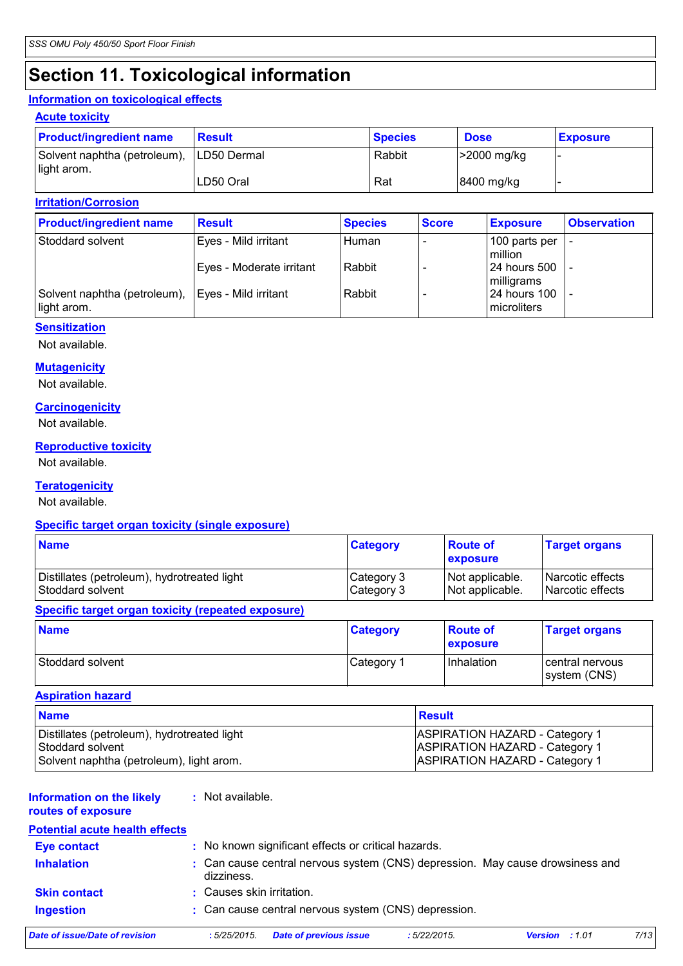# **Section 11. Toxicological information**

#### **Information on toxicological effects**

#### **Acute toxicity**

| <b>Product/ingredient name</b>              | <b>Result</b> | <b>Species</b> | <b>Dose</b> | <b>Exposure</b> |
|---------------------------------------------|---------------|----------------|-------------|-----------------|
| Solvent naphtha (petroleum),<br>light arom. | LD50 Dermal   | Rabbit         | >2000 mg/kg |                 |
|                                             | LD50 Oral     | Rat            | 8400 mg/kg  |                 |

#### **Irritation/Corrosion**

| <b>Product/ingredient name</b>              | <b>Result</b>            | <b>Species</b> | <b>Score</b> | <b>Exposure</b>              | <b>Observation</b> |
|---------------------------------------------|--------------------------|----------------|--------------|------------------------------|--------------------|
| Stoddard solvent                            | Eyes - Mild irritant     | Human          |              | 100 parts per<br>million     |                    |
|                                             | Eyes - Moderate irritant | Rabbit         |              | l 24 hours 500<br>milligrams |                    |
| Solvent naphtha (petroleum),<br>light arom. | Eyes - Mild irritant     | Rabbit         |              | 24 hours 100<br>microliters  |                    |

#### **Sensitization**

Not available.

#### **Mutagenicity**

Not available.

#### **Carcinogenicity**

Not available.

#### **Reproductive toxicity**

Not available.

#### **Teratogenicity**

Not available.

#### **Specific target organ toxicity (single exposure)**

| <b>Name</b>                                 | <b>Category</b> | <b>Route of</b><br><b>exposure</b> | <b>Target organs</b> |
|---------------------------------------------|-----------------|------------------------------------|----------------------|
| Distillates (petroleum), hydrotreated light | Category 3      | Not applicable.                    | l Narcotic effects   |
| l Stoddard solvent                          | Category 3      | Not applicable.                    | Narcotic effects     |

#### **Specific target organ toxicity (repeated exposure)**

| <b>Name</b>      | <b>Category</b> | <b>Route of</b><br><b>exposure</b> | <b>Target organs</b>            |
|------------------|-----------------|------------------------------------|---------------------------------|
| Stoddard solvent | Category 1      | Inhalation                         | central nervous<br>system (CNS) |

#### **Aspiration hazard**

| <b>Name</b>                                 | <b>Result</b>                         |
|---------------------------------------------|---------------------------------------|
| Distillates (petroleum), hydrotreated light | <b>ASPIRATION HAZARD - Category 1</b> |
| Stoddard solvent                            | <b>ASPIRATION HAZARD - Category 1</b> |
| Solvent naphtha (petroleum), light arom.    | <b>ASPIRATION HAZARD - Category 1</b> |

#### **Information on the likely :** Not available.

#### **routes of exposure**

| <b>Potential acute health effects</b> |                           |                                                      |             |                                                                               |      |
|---------------------------------------|---------------------------|------------------------------------------------------|-------------|-------------------------------------------------------------------------------|------|
| <b>Eye contact</b>                    |                           | : No known significant effects or critical hazards.  |             |                                                                               |      |
| <b>Inhalation</b>                     | dizziness.                |                                                      |             | : Can cause central nervous system (CNS) depression. May cause drowsiness and |      |
| <b>Skin contact</b>                   | : Causes skin irritation. |                                                      |             |                                                                               |      |
| <b>Ingestion</b>                      |                           | : Can cause central nervous system (CNS) depression. |             |                                                                               |      |
| Date of issue/Date of revision        | :5/25/2015.               | <b>Date of previous issue</b>                        | :5/22/2015. | <b>Version</b> : 1.01                                                         | 7/13 |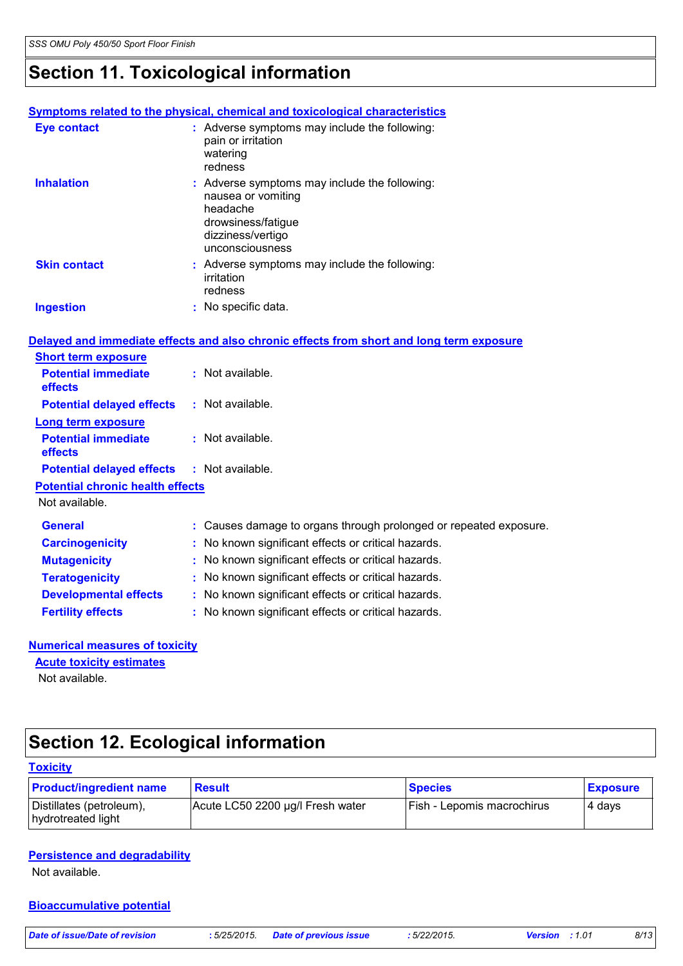# **Section 11. Toxicological information**

#### **Symptoms related to the physical, chemical and toxicological characteristics**

| Eye contact         | : Adverse symptoms may include the following:<br>pain or irritation<br>watering<br>redness                                                    |
|---------------------|-----------------------------------------------------------------------------------------------------------------------------------------------|
| <b>Inhalation</b>   | : Adverse symptoms may include the following:<br>nausea or vomiting<br>headache<br>drowsiness/fatique<br>dizziness/vertigo<br>unconsciousness |
| <b>Skin contact</b> | : Adverse symptoms may include the following:<br>irritation<br>redness                                                                        |
| <b>Ingestion</b>    | : No specific data.                                                                                                                           |

|                                            | Delayed and immediate effects and also chronic effects from short and long term exposure |
|--------------------------------------------|------------------------------------------------------------------------------------------|
| <b>Short term exposure</b>                 |                                                                                          |
| <b>Potential immediate</b><br>effects      | $\therefore$ Not available.                                                              |
| <b>Potential delayed effects</b>           | : Not available.                                                                         |
| Long term exposure                         |                                                                                          |
| <b>Potential immediate</b><br>effects      | $:$ Not available.                                                                       |
| Potential delayed effects : Not available. |                                                                                          |
| <b>Potential chronic health effects</b>    |                                                                                          |
| Not available.                             |                                                                                          |
| <b>General</b>                             | : Causes damage to organs through prolonged or repeated exposure.                        |
| <b>Carcinogenicity</b>                     | : No known significant effects or critical hazards.                                      |
| <b>Mutagenicity</b>                        | : No known significant effects or critical hazards.                                      |
| <b>Teratogenicity</b>                      | : No known significant effects or critical hazards.                                      |
| <b>Developmental effects</b>               | : No known significant effects or critical hazards.                                      |
| <b>Fertility effects</b>                   | : No known significant effects or critical hazards.                                      |

#### **Numerical measures of toxicity**

**Acute toxicity estimates**

Not available.

### **Section 12. Ecological information**

#### **Toxicity**

| <b>Product/ingredient name</b>                 | Result                           | <b>Species</b>             | <b>Exposure</b> |
|------------------------------------------------|----------------------------------|----------------------------|-----------------|
| Distillates (petroleum),<br>hydrotreated light | Acute LC50 2200 µg/l Fresh water | Fish - Lepomis macrochirus | 4 days          |

#### **Persistence and degradability**

Not available.

**Bioaccumulative potential**

*Date of issue/Date of revision* **:** *5/25/2015. Date of previous issue : 5/22/2015. Version : 1.01 8/13*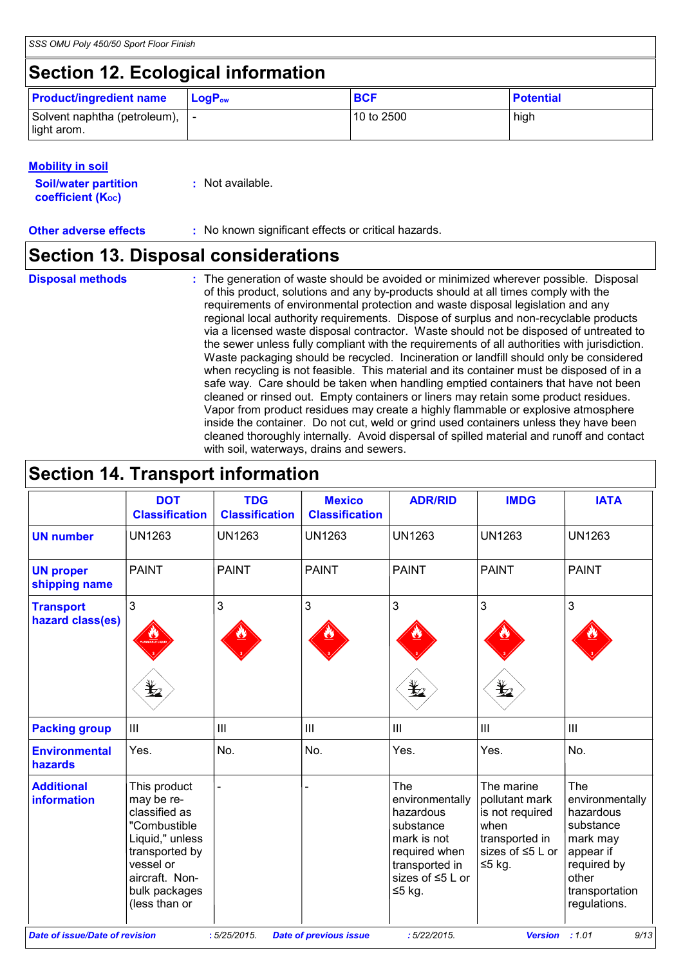# **Section 12. Ecological information**

| <b>Product/ingredient name</b>                 | $LoaPow$ | <b>BCF</b> | <b>Potential</b> |
|------------------------------------------------|----------|------------|------------------|
| Solvent naphtha (petroleum),  -<br>light arom. |          | 10 to 2500 | high             |

#### **Mobility in soil**

| <b>Soil/water partition</b> | $:$ Not available. |
|-----------------------------|--------------------|
| <b>coefficient (K</b> oc)   |                    |

**Other adverse effects : No known significant effects or critical hazards.** 

### **Section 13. Disposal considerations**

- **Disposal methods :**
- The generation of waste should be avoided or minimized wherever possible. Disposal of this product, solutions and any by-products should at all times comply with the requirements of environmental protection and waste disposal legislation and any regional local authority requirements. Dispose of surplus and non-recyclable products via a licensed waste disposal contractor. Waste should not be disposed of untreated to the sewer unless fully compliant with the requirements of all authorities with jurisdiction. Waste packaging should be recycled. Incineration or landfill should only be considered when recycling is not feasible. This material and its container must be disposed of in a safe way. Care should be taken when handling emptied containers that have not been cleaned or rinsed out. Empty containers or liners may retain some product residues. Vapor from product residues may create a highly flammable or explosive atmosphere inside the container. Do not cut, weld or grind used containers unless they have been cleaned thoroughly internally. Avoid dispersal of spilled material and runoff and contact with soil, waterways, drains and sewers.

### **Section 14. Transport information**

|                                                                                                                                          | <b>DOT</b><br><b>Classification</b>                                                                                                                               | <b>TDG</b><br><b>Classification</b> | <b>Mexico</b><br><b>Classification</b> | <b>ADR/RID</b>                                                                                                                     | <b>IMDG</b>                                                                                               | <b>IATA</b>                                                                                                                                |
|------------------------------------------------------------------------------------------------------------------------------------------|-------------------------------------------------------------------------------------------------------------------------------------------------------------------|-------------------------------------|----------------------------------------|------------------------------------------------------------------------------------------------------------------------------------|-----------------------------------------------------------------------------------------------------------|--------------------------------------------------------------------------------------------------------------------------------------------|
| <b>UN number</b>                                                                                                                         | <b>UN1263</b>                                                                                                                                                     | <b>UN1263</b>                       | <b>UN1263</b>                          | <b>UN1263</b>                                                                                                                      | <b>UN1263</b>                                                                                             | <b>UN1263</b>                                                                                                                              |
| <b>UN proper</b><br>shipping name                                                                                                        | <b>PAINT</b>                                                                                                                                                      | <b>PAINT</b>                        | <b>PAINT</b>                           | <b>PAINT</b>                                                                                                                       | <b>PAINT</b>                                                                                              | <b>PAINT</b>                                                                                                                               |
| <b>Transport</b><br>hazard class(es)                                                                                                     | $\mathfrak{S}$                                                                                                                                                    | 3                                   | $\mathbf{3}$                           | 3<br>t                                                                                                                             | 3                                                                                                         | 3                                                                                                                                          |
| <b>Packing group</b>                                                                                                                     | $\mathop{\rm III}$                                                                                                                                                | III                                 | $\mathbf{III}$                         | $\mathbf{III}$                                                                                                                     | $\mathbf{III}$                                                                                            | III                                                                                                                                        |
| <b>Environmental</b><br>hazards                                                                                                          | Yes.                                                                                                                                                              | No.                                 | No.                                    | Yes.                                                                                                                               | Yes.                                                                                                      | No.                                                                                                                                        |
| <b>Additional</b><br>information                                                                                                         | This product<br>may be re-<br>classified as<br>"Combustible<br>Liquid," unless<br>transported by<br>vessel or<br>aircraft. Non-<br>bulk packages<br>(less than or |                                     |                                        | The<br>environmentally<br>hazardous<br>substance<br>mark is not<br>required when<br>transported in<br>sizes of ≤5 L or<br>$≤5$ kg. | The marine<br>pollutant mark<br>is not required<br>when<br>transported in<br>sizes of ≤5 L or<br>$≤5$ kg. | <b>The</b><br>environmentally<br>hazardous<br>substance<br>mark may<br>appear if<br>required by<br>other<br>transportation<br>regulations. |
| :1.01<br>9/13<br><b>Date of issue/Date of revision</b><br>: 5/25/2015.<br><b>Date of previous issue</b><br>:5/22/2015.<br><b>Version</b> |                                                                                                                                                                   |                                     |                                        |                                                                                                                                    |                                                                                                           |                                                                                                                                            |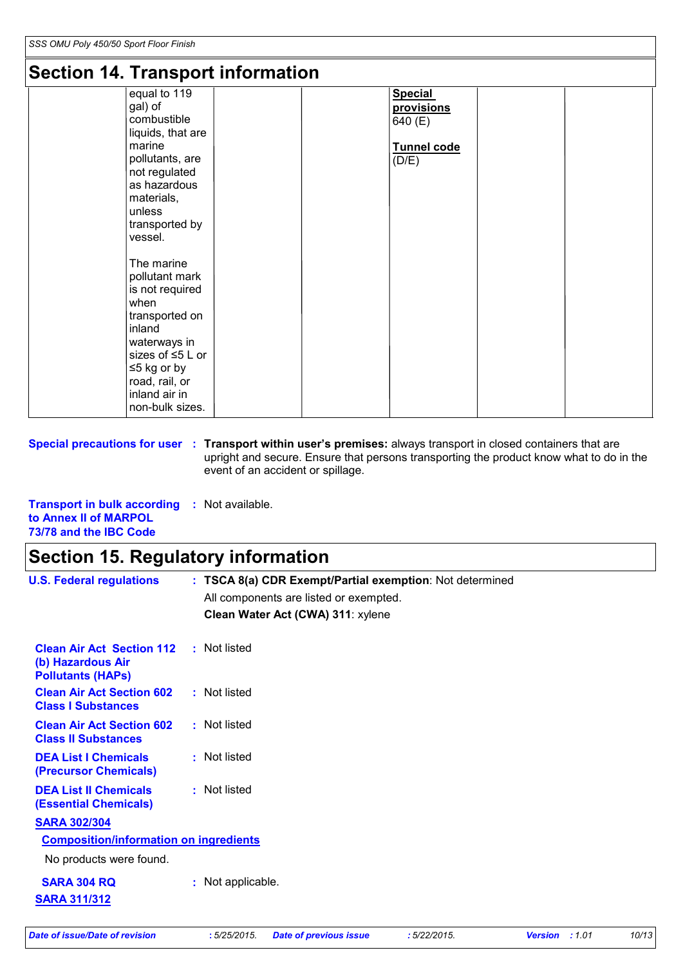### **Section 14. Transport information**

| Secuon 14. Transport information<br>equal to 119<br>gal) of<br>combustible<br>liquids, that are<br>marine<br>pollutants, are<br>not regulated<br>as hazardous<br>materials,<br>unless<br>transported by<br>vessel.<br>The marine |  | <b>Special</b><br>provisions<br>640 (E)<br>Tunnel code<br>(D/E) |  |
|----------------------------------------------------------------------------------------------------------------------------------------------------------------------------------------------------------------------------------|--|-----------------------------------------------------------------|--|
| pollutant mark<br>is not required<br>when<br>transported on<br>inland<br>waterways in<br>sizes of ≤5 L or<br>$\leq$ 5 kg or by<br>road, rail, or<br>inland air in<br>non-bulk sizes.                                             |  |                                                                 |  |

**Special precautions for user** : Transport within user's premises: always transport in closed containers that are upright and secure. Ensure that persons transporting the product know what to do in the event of an accident or spillage.

**Transport in bulk according :** Not available. **to Annex II of MARPOL 73/78 and the IBC Code**

### **Section 15. Regulatory information**

| <b>U.S. Federal regulations</b>                                                   | : TSCA 8(a) CDR Exempt/Partial exemption: Not determined |
|-----------------------------------------------------------------------------------|----------------------------------------------------------|
|                                                                                   | All components are listed or exempted.                   |
|                                                                                   | Clean Water Act (CWA) 311: xylene                        |
| <b>Clean Air Act Section 112</b><br>(b) Hazardous Air<br><b>Pollutants (HAPS)</b> | : Not listed                                             |
| <b>Clean Air Act Section 602</b><br><b>Class I Substances</b>                     | : Not listed                                             |
| <b>Clean Air Act Section 602</b><br><b>Class II Substances</b>                    | : Not listed                                             |
| <b>DEA List I Chemicals</b><br>(Precursor Chemicals)                              | : Not listed                                             |
| <b>DEA List II Chemicals</b><br><b>(Essential Chemicals)</b>                      | : Not listed                                             |
| <b>SARA 302/304</b>                                                               |                                                          |
| <b>Composition/information on ingredients</b>                                     |                                                          |
| No products were found.                                                           |                                                          |
| <b>SARA 304 RQ</b><br><b>SARA 311/312</b>                                         | : Not applicable.                                        |
|                                                                                   |                                                          |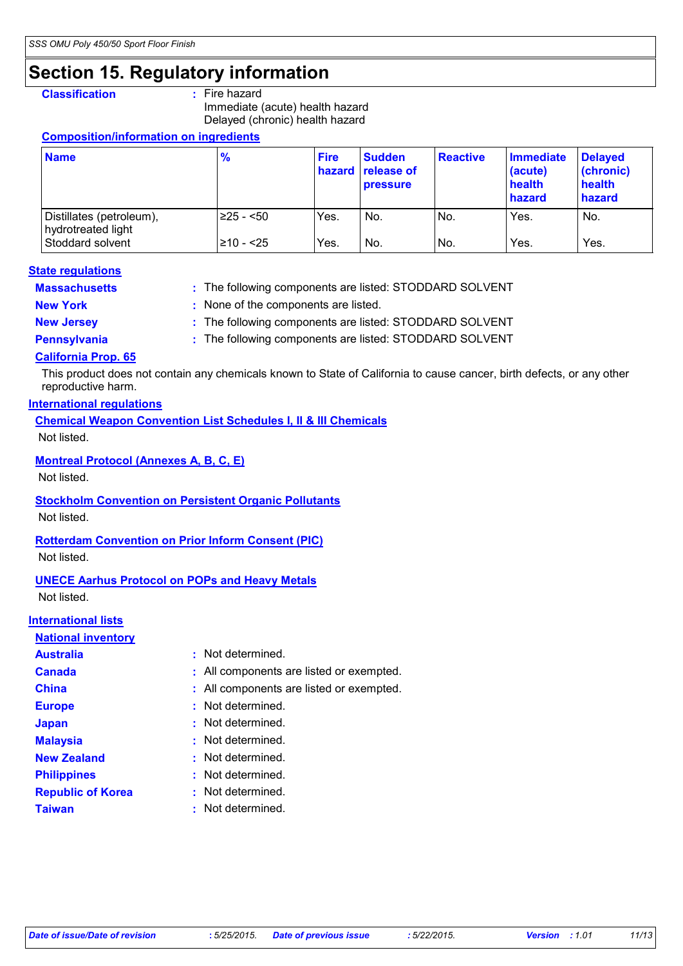### **Section 15. Regulatory information**

#### **Classification :** Fire hazard

Immediate (acute) health hazard Delayed (chronic) health hazard

#### **Composition/information on ingredients**

| <b>Name</b>                                                        | $\frac{9}{6}$            | <b>Fire</b>  | <b>Sudden</b><br><b>hazard release of</b><br><b>pressure</b> | <b>Reactive</b> | Immediate<br>(acute)<br>health<br>hazard | <b>Delayed</b><br>(chronic)<br>health<br>hazard |
|--------------------------------------------------------------------|--------------------------|--------------|--------------------------------------------------------------|-----------------|------------------------------------------|-------------------------------------------------|
| Distillates (petroleum),<br>hydrotreated light<br>Stoddard solvent | l≥25 - <50<br>l≥10 - <25 | Yes.<br>Yes. | No.<br>No.                                                   | No.<br>No.      | Yes.<br>Yes.                             | No.<br>Yes.                                     |

#### **Massachusetts : State regulations**

: The following components are listed: STODDARD SOLVENT

**New York :** None of the components are listed.

**New Jersey : The following components are listed: STODDARD SOLVENT** 

**Pennsylvania** : The following components are listed: STODDARD SOLVENT

#### **California Prop. 65**

This product does not contain any chemicals known to State of California to cause cancer, birth defects, or any other reproductive harm.

#### **International regulations**

**Chemical Weapon Convention List Schedules I, II & III Chemicals** Not listed.

#### **Montreal Protocol (Annexes A, B, C, E)**

Not listed.

**Stockholm Convention on Persistent Organic Pollutants**

Not listed.

#### **Rotterdam Convention on Prior Inform Consent (PIC)**

Not listed.

#### **UNECE Aarhus Protocol on POPs and Heavy Metals**

Not listed.

#### **International lists**

#### **National inventory**

| Australia                | : Not determined.                        |
|--------------------------|------------------------------------------|
| <b>Canada</b>            | : All components are listed or exempted. |
| China                    | : All components are listed or exempted. |
| <b>Europe</b>            | : Not determined.                        |
| Japan                    | : Not determined.                        |
| <b>Malaysia</b>          | : Not determined.                        |
| <b>New Zealand</b>       | : Not determined.                        |
| <b>Philippines</b>       | : Not determined.                        |
| <b>Republic of Korea</b> | : Not determined.                        |
| <b>Taiwan</b>            | : Not determined.                        |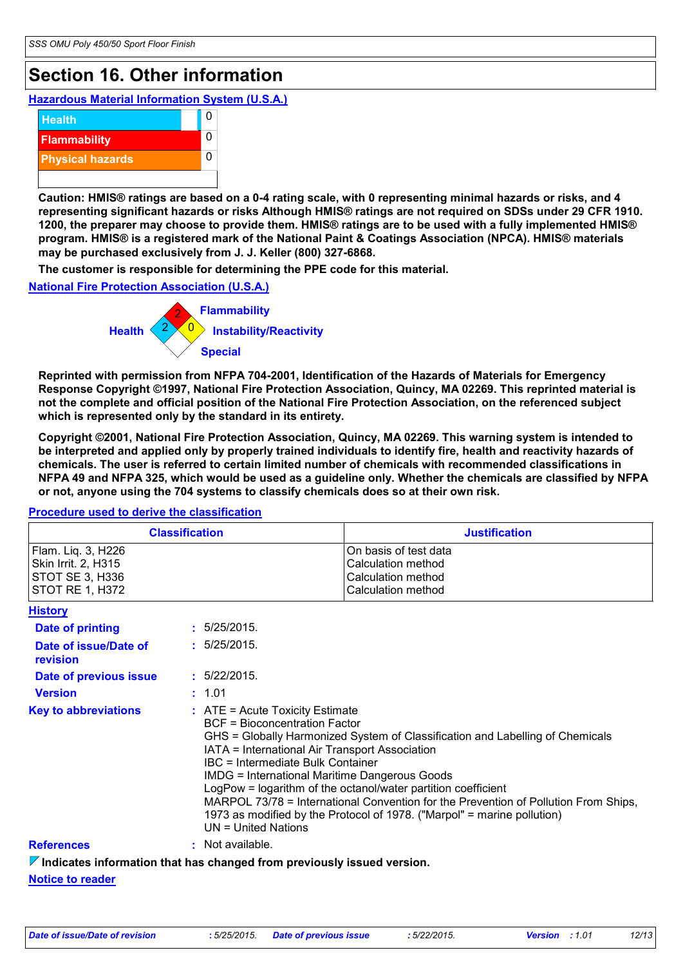# **Section 16. Other information**

**Hazardous Material Information System (U.S.A.)**



**Caution: HMIS® ratings are based on a 0-4 rating scale, with 0 representing minimal hazards or risks, and 4 representing significant hazards or risks Although HMIS® ratings are not required on SDSs under 29 CFR 1910. 1200, the preparer may choose to provide them. HMIS® ratings are to be used with a fully implemented HMIS® program. HMIS® is a registered mark of the National Paint & Coatings Association (NPCA). HMIS® materials may be purchased exclusively from J. J. Keller (800) 327-6868.**

**The customer is responsible for determining the PPE code for this material.**

**National Fire Protection Association (U.S.A.)**



**Reprinted with permission from NFPA 704-2001, Identification of the Hazards of Materials for Emergency Response Copyright ©1997, National Fire Protection Association, Quincy, MA 02269. This reprinted material is not the complete and official position of the National Fire Protection Association, on the referenced subject which is represented only by the standard in its entirety.**

**Copyright ©2001, National Fire Protection Association, Quincy, MA 02269. This warning system is intended to be interpreted and applied only by properly trained individuals to identify fire, health and reactivity hazards of chemicals. The user is referred to certain limited number of chemicals with recommended classifications in NFPA 49 and NFPA 325, which would be used as a guideline only. Whether the chemicals are classified by NFPA or not, anyone using the 704 systems to classify chemicals does so at their own risk.**

#### **Procedure used to derive the classification**

| <b>Procedure used to derive the classification</b>                                     |  |                                                                                                                                                                                                                                                                                                                                                                                                                                                                                                                                                                       |                                                                                         |  |  |
|----------------------------------------------------------------------------------------|--|-----------------------------------------------------------------------------------------------------------------------------------------------------------------------------------------------------------------------------------------------------------------------------------------------------------------------------------------------------------------------------------------------------------------------------------------------------------------------------------------------------------------------------------------------------------------------|-----------------------------------------------------------------------------------------|--|--|
| <b>Classification</b>                                                                  |  |                                                                                                                                                                                                                                                                                                                                                                                                                                                                                                                                                                       | <b>Justification</b>                                                                    |  |  |
| Flam. Liq. 3, H226<br>Skin Irrit. 2, H315<br>STOT SE 3, H336<br><b>STOT RE 1, H372</b> |  |                                                                                                                                                                                                                                                                                                                                                                                                                                                                                                                                                                       | On basis of test data<br>Calculation method<br>Calculation method<br>Calculation method |  |  |
| <b>History</b>                                                                         |  |                                                                                                                                                                                                                                                                                                                                                                                                                                                                                                                                                                       |                                                                                         |  |  |
| <b>Date of printing</b>                                                                |  | : 5/25/2015.                                                                                                                                                                                                                                                                                                                                                                                                                                                                                                                                                          |                                                                                         |  |  |
| Date of issue/Date of<br>revision                                                      |  | : 5/25/2015.                                                                                                                                                                                                                                                                                                                                                                                                                                                                                                                                                          |                                                                                         |  |  |
| Date of previous issue                                                                 |  | : 5/22/2015.                                                                                                                                                                                                                                                                                                                                                                                                                                                                                                                                                          |                                                                                         |  |  |
| <b>Version</b>                                                                         |  | : 1.01                                                                                                                                                                                                                                                                                                                                                                                                                                                                                                                                                                |                                                                                         |  |  |
| <b>Key to abbreviations</b>                                                            |  | $:$ ATE = Acute Toxicity Estimate<br><b>BCF</b> = Bioconcentration Factor<br>GHS = Globally Harmonized System of Classification and Labelling of Chemicals<br>IATA = International Air Transport Association<br>IBC = Intermediate Bulk Container<br><b>IMDG = International Maritime Dangerous Goods</b><br>LogPow = logarithm of the octanol/water partition coefficient<br>MARPOL 73/78 = International Convention for the Prevention of Pollution From Ships,<br>1973 as modified by the Protocol of 1978. ("Marpol" = marine pollution)<br>$UN = United Nations$ |                                                                                         |  |  |
| <b>References</b>                                                                      |  | : Not available.                                                                                                                                                                                                                                                                                                                                                                                                                                                                                                                                                      |                                                                                         |  |  |
| $\nabla$ Indicates information that has changed from previously issued version.        |  |                                                                                                                                                                                                                                                                                                                                                                                                                                                                                                                                                                       |                                                                                         |  |  |

**Notice to reader**